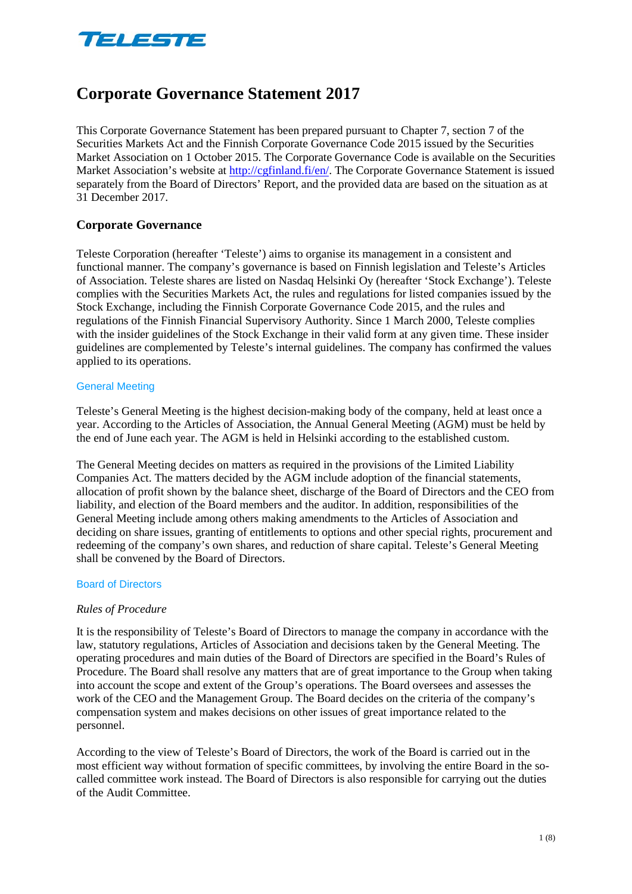

# **Corporate Governance Statement 2017**

This Corporate Governance Statement has been prepared pursuant to Chapter 7, section 7 of the Securities Markets Act and the Finnish Corporate Governance Code 2015 issued by the Securities Market Association on 1 October 2015. The Corporate Governance Code is available on the Securities Market Association's website at http://cgfinland.fi/en/. The Corporate Governance Statement is issued separately from the Board of Directors' Report, and the provided data are based on the situation as at 31 December 2017.

# **Corporate Governance**

Teleste Corporation (hereafter 'Teleste') aims to organise its management in a consistent and functional manner. The company's governance is based on Finnish legislation and Teleste's Articles of Association. Teleste shares are listed on Nasdaq Helsinki Oy (hereafter 'Stock Exchange'). Teleste complies with the Securities Markets Act, the rules and regulations for listed companies issued by the Stock Exchange, including the Finnish Corporate Governance Code 2015, and the rules and regulations of the Finnish Financial Supervisory Authority. Since 1 March 2000, Teleste complies with the insider guidelines of the Stock Exchange in their valid form at any given time. These insider guidelines are complemented by Teleste's internal guidelines. The company has confirmed the values applied to its operations.

#### General Meeting

Teleste's General Meeting is the highest decision-making body of the company, held at least once a year. According to the Articles of Association, the Annual General Meeting (AGM) must be held by the end of June each year. The AGM is held in Helsinki according to the established custom.

The General Meeting decides on matters as required in the provisions of the Limited Liability Companies Act. The matters decided by the AGM include adoption of the financial statements, allocation of profit shown by the balance sheet, discharge of the Board of Directors and the CEO from liability, and election of the Board members and the auditor. In addition, responsibilities of the General Meeting include among others making amendments to the Articles of Association and deciding on share issues, granting of entitlements to options and other special rights, procurement and redeeming of the company's own shares, and reduction of share capital. Teleste's General Meeting shall be convened by the Board of Directors.

### Board of Directors

### *Rules of Procedure*

It is the responsibility of Teleste's Board of Directors to manage the company in accordance with the law, statutory regulations, Articles of Association and decisions taken by the General Meeting. The operating procedures and main duties of the Board of Directors are specified in the Board's Rules of Procedure. The Board shall resolve any matters that are of great importance to the Group when taking into account the scope and extent of the Group's operations. The Board oversees and assesses the work of the CEO and the Management Group. The Board decides on the criteria of the company's compensation system and makes decisions on other issues of great importance related to the personnel.

According to the view of Teleste's Board of Directors, the work of the Board is carried out in the most efficient way without formation of specific committees, by involving the entire Board in the socalled committee work instead. The Board of Directors is also responsible for carrying out the duties of the Audit Committee.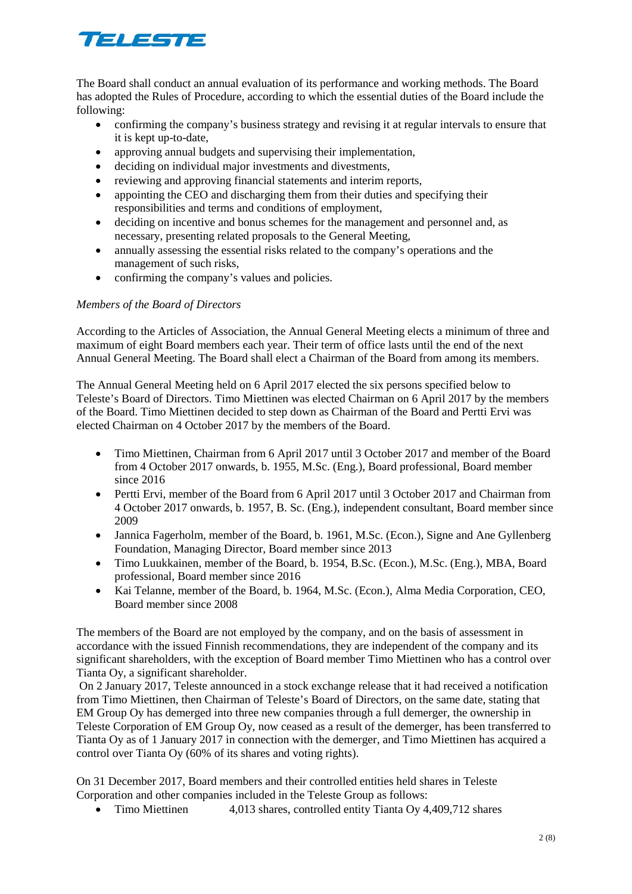# TELESTE

The Board shall conduct an annual evaluation of its performance and working methods. The Board has adopted the Rules of Procedure, according to which the essential duties of the Board include the following:

- confirming the company's business strategy and revising it at regular intervals to ensure that it is kept up-to-date,
- approving annual budgets and supervising their implementation,
- deciding on individual major investments and divestments,
- reviewing and approving financial statements and interim reports,
- appointing the CEO and discharging them from their duties and specifying their responsibilities and terms and conditions of employment,
- deciding on incentive and bonus schemes for the management and personnel and, as necessary, presenting related proposals to the General Meeting,
- annually assessing the essential risks related to the company's operations and the management of such risks,
- confirming the company's values and policies.

# *Members of the Board of Directors*

According to the Articles of Association, the Annual General Meeting elects a minimum of three and maximum of eight Board members each year. Their term of office lasts until the end of the next Annual General Meeting. The Board shall elect a Chairman of the Board from among its members.

The Annual General Meeting held on 6 April 2017 elected the six persons specified below to Teleste's Board of Directors. Timo Miettinen was elected Chairman on 6 April 2017 by the members of the Board. Timo Miettinen decided to step down as Chairman of the Board and Pertti Ervi was elected Chairman on 4 October 2017 by the members of the Board.

- Timo Miettinen, Chairman from 6 April 2017 until 3 October 2017 and member of the Board from 4 October 2017 onwards, b. 1955, M.Sc. (Eng.), Board professional, Board member since 2016
- Pertti Ervi, member of the Board from 6 April 2017 until 3 October 2017 and Chairman from 4 October 2017 onwards, b. 1957, B. Sc. (Eng.), independent consultant, Board member since 2009
- Jannica Fagerholm, member of the Board, b. 1961, M.Sc. (Econ.), Signe and Ane Gyllenberg Foundation, Managing Director, Board member since 2013
- Timo Luukkainen, member of the Board, b. 1954, B.Sc. (Econ.), M.Sc. (Eng.), MBA, Board professional, Board member since 2016
- Kai Telanne, member of the Board, b. 1964, M.Sc. (Econ.), Alma Media Corporation, CEO, Board member since 2008

The members of the Board are not employed by the company, and on the basis of assessment in accordance with the issued Finnish recommendations, they are independent of the company and its significant shareholders, with the exception of Board member Timo Miettinen who has a control over Tianta Oy, a significant shareholder.

On 2 January 2017, Teleste announced in a stock exchange release that it had received a notification from Timo Miettinen, then Chairman of Teleste's Board of Directors, on the same date, stating that EM Group Oy has demerged into three new companies through a full demerger, the ownership in Teleste Corporation of EM Group Oy, now ceased as a result of the demerger, has been transferred to Tianta Oy as of 1 January 2017 in connection with the demerger, and Timo Miettinen has acquired a control over Tianta Oy (60% of its shares and voting rights).

On 31 December 2017, Board members and their controlled entities held shares in Teleste Corporation and other companies included in the Teleste Group as follows:

• Timo Miettinen 4,013 shares, controlled entity Tianta Oy 4,409,712 shares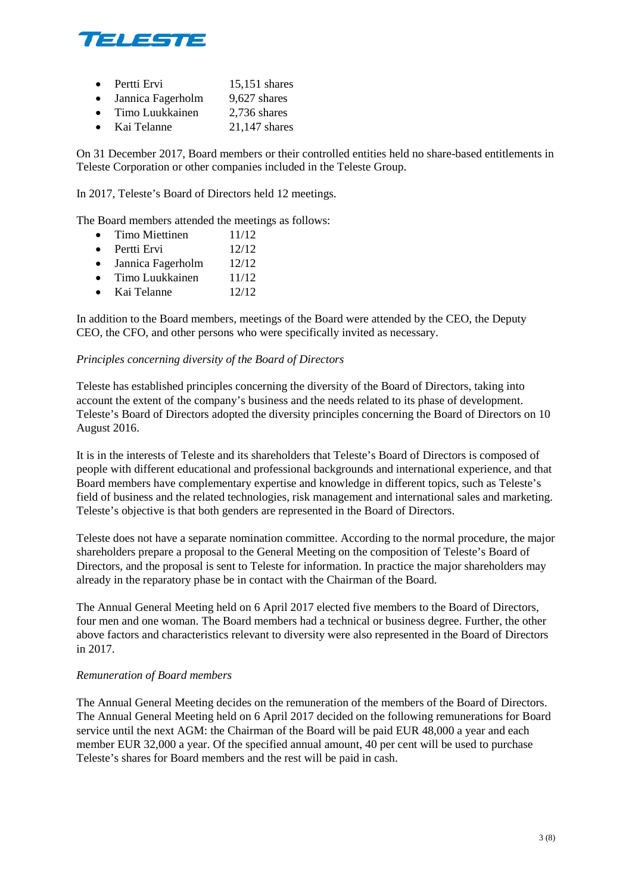

- Pertti Ervi 15,151 shares
- Jannica Fagerholm 9,627 shares
- Timo Luukkainen 2.736 shares
- Kai Telanne 21,147 shares

On 31 December 2017, Board members or their controlled entities held no share-based entitlements in Teleste Corporation or other companies included in the Teleste Group.

In 2017, Teleste's Board of Directors held 12 meetings.

The Board members attended the meetings as follows:

- Timo Miettinen  $11/12$
- Pertti Ervi 12/12
- Jannica Fagerholm 12/12
- Timo Luukkainen  $11/12$
- Kai Telanne 12/12

In addition to the Board members, meetings of the Board were attended by the CEO, the Deputy CEO, the CFO, and other persons who were specifically invited as necessary.

### *Principles concerning diversity of the Board of Directors*

Teleste has established principles concerning the diversity of the Board of Directors, taking into account the extent of the company's business and the needs related to its phase of development. Teleste's Board of Directors adopted the diversity principles concerning the Board of Directors on 10 August 2016.

It is in the interests of Teleste and its shareholders that Teleste's Board of Directors is composed of people with different educational and professional backgrounds and international experience, and that Board members have complementary expertise and knowledge in different topics, such as Teleste's field of business and the related technologies, risk management and international sales and marketing. Teleste's objective is that both genders are represented in the Board of Directors.

Teleste does not have a separate nomination committee. According to the normal procedure, the major shareholders prepare a proposal to the General Meeting on the composition of Teleste's Board of Directors, and the proposal is sent to Teleste for information. In practice the major shareholders may already in the reparatory phase be in contact with the Chairman of the Board.

The Annual General Meeting held on 6 April 2017 elected five members to the Board of Directors, four men and one woman. The Board members had a technical or business degree. Further, the other above factors and characteristics relevant to diversity were also represented in the Board of Directors in 2017.

#### *Remuneration of Board members*

The Annual General Meeting decides on the remuneration of the members of the Board of Directors. The Annual General Meeting held on 6 April 2017 decided on the following remunerations for Board service until the next AGM: the Chairman of the Board will be paid EUR 48,000 a year and each member EUR 32,000 a year. Of the specified annual amount, 40 per cent will be used to purchase Teleste's shares for Board members and the rest will be paid in cash.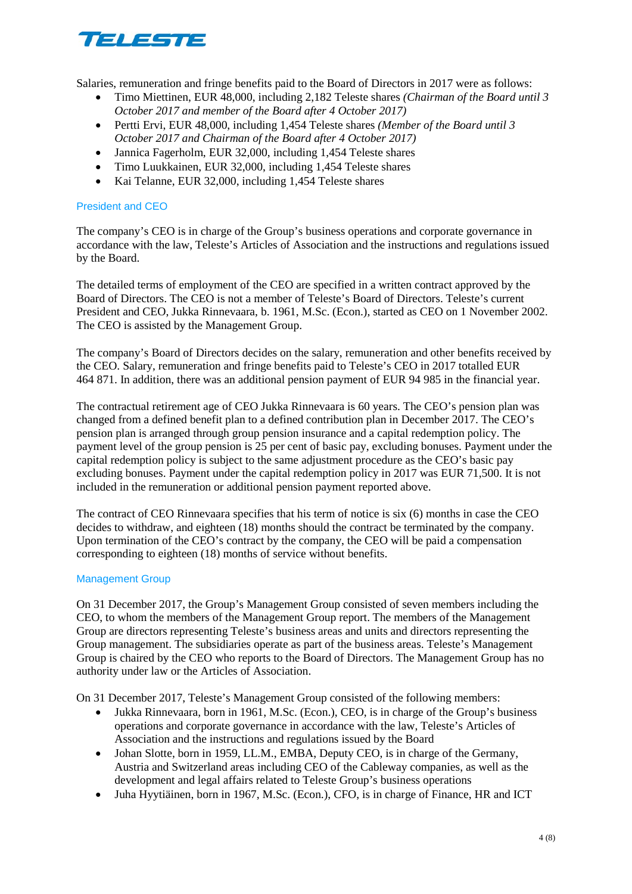

Salaries, remuneration and fringe benefits paid to the Board of Directors in 2017 were as follows:

- Timo Miettinen, EUR 48,000, including 2,182 Teleste shares *(Chairman of the Board until 3 October 2017 and member of the Board after 4 October 2017)*
- Pertti Ervi, EUR 48,000, including 1,454 Teleste shares *(Member of the Board until 3 October 2017 and Chairman of the Board after 4 October 2017)*
- Jannica Fagerholm, EUR 32,000, including 1,454 Teleste shares
- Timo Luukkainen, EUR 32,000, including 1,454 Teleste shares
- Kai Telanne, EUR 32,000, including 1,454 Teleste shares

# President and CEO

The company's CEO is in charge of the Group's business operations and corporate governance in accordance with the law, Teleste's Articles of Association and the instructions and regulations issued by the Board.

The detailed terms of employment of the CEO are specified in a written contract approved by the Board of Directors. The CEO is not a member of Teleste's Board of Directors. Teleste's current President and CEO, Jukka Rinnevaara, b. 1961, M.Sc. (Econ.), started as CEO on 1 November 2002. The CEO is assisted by the Management Group.

The company's Board of Directors decides on the salary, remuneration and other benefits received by the CEO. Salary, remuneration and fringe benefits paid to Teleste's CEO in 2017 totalled EUR 464 871. In addition, there was an additional pension payment of EUR 94 985 in the financial year.

The contractual retirement age of CEO Jukka Rinnevaara is 60 years. The CEO's pension plan was changed from a defined benefit plan to a defined contribution plan in December 2017. The CEO's pension plan is arranged through group pension insurance and a capital redemption policy. The payment level of the group pension is 25 per cent of basic pay, excluding bonuses. Payment under the capital redemption policy is subject to the same adjustment procedure as the CEO's basic pay excluding bonuses. Payment under the capital redemption policy in 2017 was EUR 71,500. It is not included in the remuneration or additional pension payment reported above.

The contract of CEO Rinnevaara specifies that his term of notice is six (6) months in case the CEO decides to withdraw, and eighteen (18) months should the contract be terminated by the company. Upon termination of the CEO's contract by the company, the CEO will be paid a compensation corresponding to eighteen (18) months of service without benefits.

### Management Group

On 31 December 2017, the Group's Management Group consisted of seven members including the CEO, to whom the members of the Management Group report. The members of the Management Group are directors representing Teleste's business areas and units and directors representing the Group management. The subsidiaries operate as part of the business areas. Teleste's Management Group is chaired by the CEO who reports to the Board of Directors. The Management Group has no authority under law or the Articles of Association.

On 31 December 2017, Teleste's Management Group consisted of the following members:

- Jukka Rinnevaara, born in 1961, M.Sc. (Econ.), CEO, is in charge of the Group's business operations and corporate governance in accordance with the law, Teleste's Articles of Association and the instructions and regulations issued by the Board
- Johan Slotte, born in 1959, LL.M., EMBA, Deputy CEO, is in charge of the Germany, Austria and Switzerland areas including CEO of the Cableway companies, as well as the development and legal affairs related to Teleste Group's business operations
- Juha Hyytiäinen, born in 1967, M.Sc. (Econ.), CFO, is in charge of Finance, HR and ICT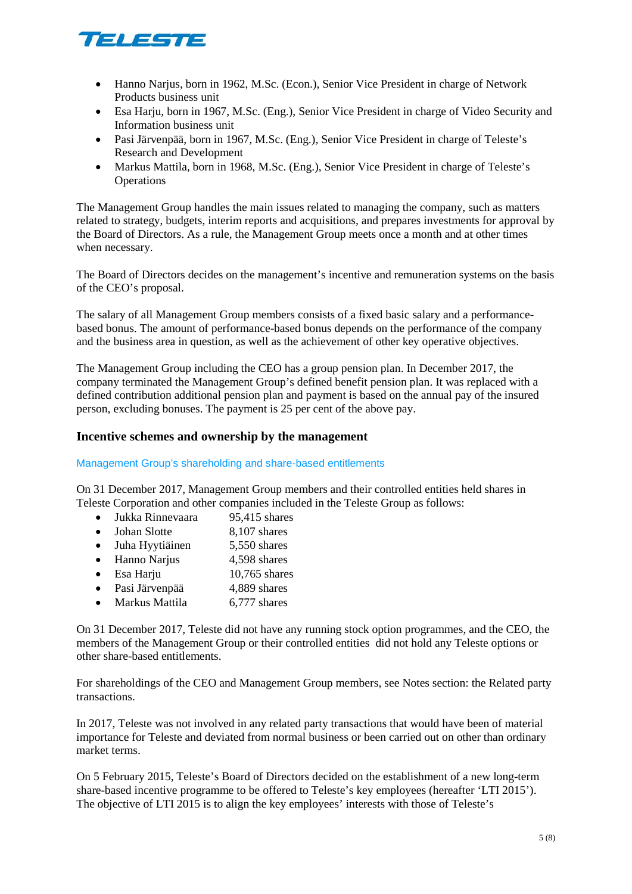

- Hanno Narjus, born in 1962, M.Sc. (Econ.), Senior Vice President in charge of Network Products business unit
- Esa Harju, born in 1967, M.Sc. (Eng.), Senior Vice President in charge of Video Security and Information business unit
- Pasi Järvenpää, born in 1967, M.Sc. (Eng.), Senior Vice President in charge of Teleste's Research and Development
- Markus Mattila, born in 1968, M.Sc. (Eng.), Senior Vice President in charge of Teleste's **Operations**

The Management Group handles the main issues related to managing the company, such as matters related to strategy, budgets, interim reports and acquisitions, and prepares investments for approval by the Board of Directors. As a rule, the Management Group meets once a month and at other times when necessary.

The Board of Directors decides on the management's incentive and remuneration systems on the basis of the CEO's proposal.

The salary of all Management Group members consists of a fixed basic salary and a performancebased bonus. The amount of performance-based bonus depends on the performance of the company and the business area in question, as well as the achievement of other key operative objectives.

The Management Group including the CEO has a group pension plan. In December 2017, the company terminated the Management Group's defined benefit pension plan. It was replaced with a defined contribution additional pension plan and payment is based on the annual pay of the insured person, excluding bonuses. The payment is 25 per cent of the above pay.

# **Incentive schemes and ownership by the management**

Management Group's shareholding and share-based entitlements

On 31 December 2017, Management Group members and their controlled entities held shares in Teleste Corporation and other companies included in the Teleste Group as follows:

- Jukka Rinnevaara 95.415 shares
- Johan Slotte 8,107 shares
- Juha Hyytiäinen 5,550 shares
- Hanno Narjus 4,598 shares
- Esa Harju 10,765 shares
- Pasi Järvenpää 4,889 shares
- Markus Mattila 6,777 shares

On 31 December 2017, Teleste did not have any running stock option programmes, and the CEO, the members of the Management Group or their controlled entities did not hold any Teleste options or other share-based entitlements.

For shareholdings of the CEO and Management Group members, see Notes section: the Related party transactions.

In 2017, Teleste was not involved in any related party transactions that would have been of material importance for Teleste and deviated from normal business or been carried out on other than ordinary market terms.

On 5 February 2015, Teleste's Board of Directors decided on the establishment of a new long-term share-based incentive programme to be offered to Teleste's key employees (hereafter 'LTI 2015'). The objective of LTI 2015 is to align the key employees' interests with those of Teleste's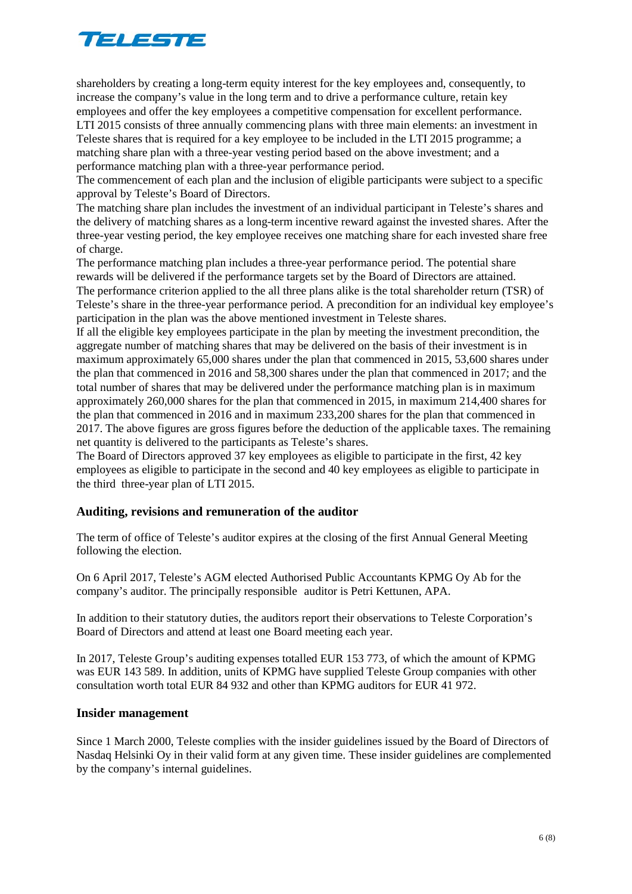# TELESTE

shareholders by creating a long-term equity interest for the key employees and, consequently, to increase the company's value in the long term and to drive a performance culture, retain key employees and offer the key employees a competitive compensation for excellent performance. LTI 2015 consists of three annually commencing plans with three main elements: an investment in Teleste shares that is required for a key employee to be included in the LTI 2015 programme; a matching share plan with a three-year vesting period based on the above investment; and a performance matching plan with a three-year performance period.

The commencement of each plan and the inclusion of eligible participants were subject to a specific approval by Teleste's Board of Directors.

The matching share plan includes the investment of an individual participant in Teleste's shares and the delivery of matching shares as a long-term incentive reward against the invested shares. After the three-year vesting period, the key employee receives one matching share for each invested share free of charge.

The performance matching plan includes a three-year performance period. The potential share rewards will be delivered if the performance targets set by the Board of Directors are attained. The performance criterion applied to the all three plans alike is the total shareholder return (TSR) of Teleste's share in the three-year performance period. A precondition for an individual key employee's participation in the plan was the above mentioned investment in Teleste shares.

If all the eligible key employees participate in the plan by meeting the investment precondition, the aggregate number of matching shares that may be delivered on the basis of their investment is in maximum approximately 65,000 shares under the plan that commenced in 2015, 53,600 shares under the plan that commenced in 2016 and 58,300 shares under the plan that commenced in 2017; and the total number of shares that may be delivered under the performance matching plan is in maximum approximately 260,000 shares for the plan that commenced in 2015, in maximum 214,400 shares for the plan that commenced in 2016 and in maximum 233,200 shares for the plan that commenced in 2017. The above figures are gross figures before the deduction of the applicable taxes. The remaining net quantity is delivered to the participants as Teleste's shares.

The Board of Directors approved 37 key employees as eligible to participate in the first, 42 key employees as eligible to participate in the second and 40 key employees as eligible to participate in the third three-year plan of LTI 2015.

# **Auditing, revisions and remuneration of the auditor**

The term of office of Teleste's auditor expires at the closing of the first Annual General Meeting following the election.

On 6 April 2017, Teleste's AGM elected Authorised Public Accountants KPMG Oy Ab for the company's auditor. The principally responsible auditor is Petri Kettunen, APA.

In addition to their statutory duties, the auditors report their observations to Teleste Corporation's Board of Directors and attend at least one Board meeting each year.

In 2017, Teleste Group's auditing expenses totalled EUR 153 773, of which the amount of KPMG was EUR 143 589. In addition, units of KPMG have supplied Teleste Group companies with other consultation worth total EUR 84 932 and other than KPMG auditors for EUR 41 972.

### **Insider management**

Since 1 March 2000, Teleste complies with the insider guidelines issued by the Board of Directors of Nasdaq Helsinki Oy in their valid form at any given time. These insider guidelines are complemented by the company's internal guidelines.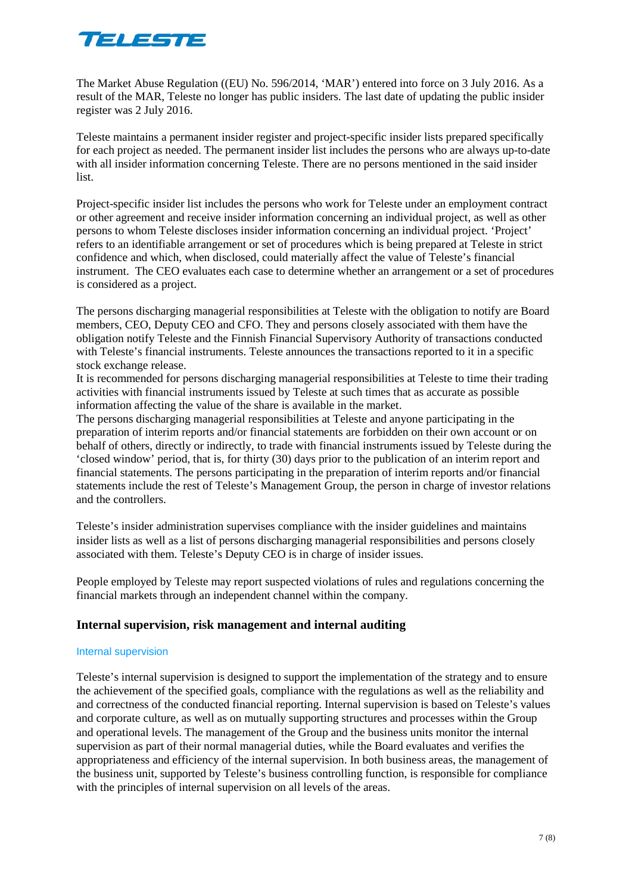

The Market Abuse Regulation ((EU) No. 596/2014, 'MAR') entered into force on 3 July 2016. As a result of the MAR, Teleste no longer has public insiders. The last date of updating the public insider register was 2 July 2016.

Teleste maintains a permanent insider register and project-specific insider lists prepared specifically for each project as needed. The permanent insider list includes the persons who are always up-to-date with all insider information concerning Teleste. There are no persons mentioned in the said insider list.

Project-specific insider list includes the persons who work for Teleste under an employment contract or other agreement and receive insider information concerning an individual project, as well as other persons to whom Teleste discloses insider information concerning an individual project. 'Project' refers to an identifiable arrangement or set of procedures which is being prepared at Teleste in strict confidence and which, when disclosed, could materially affect the value of Teleste's financial instrument. The CEO evaluates each case to determine whether an arrangement or a set of procedures is considered as a project.

The persons discharging managerial responsibilities at Teleste with the obligation to notify are Board members, CEO, Deputy CEO and CFO. They and persons closely associated with them have the obligation notify Teleste and the Finnish Financial Supervisory Authority of transactions conducted with Teleste's financial instruments. Teleste announces the transactions reported to it in a specific stock exchange release.

It is recommended for persons discharging managerial responsibilities at Teleste to time their trading activities with financial instruments issued by Teleste at such times that as accurate as possible information affecting the value of the share is available in the market.

The persons discharging managerial responsibilities at Teleste and anyone participating in the preparation of interim reports and/or financial statements are forbidden on their own account or on behalf of others, directly or indirectly, to trade with financial instruments issued by Teleste during the 'closed window' period, that is, for thirty (30) days prior to the publication of an interim report and financial statements. The persons participating in the preparation of interim reports and/or financial statements include the rest of Teleste's Management Group, the person in charge of investor relations and the controllers.

Teleste's insider administration supervises compliance with the insider guidelines and maintains insider lists as well as a list of persons discharging managerial responsibilities and persons closely associated with them. Teleste's Deputy CEO is in charge of insider issues.

People employed by Teleste may report suspected violations of rules and regulations concerning the financial markets through an independent channel within the company.

### **Internal supervision, risk management and internal auditing**

#### Internal supervision

Teleste's internal supervision is designed to support the implementation of the strategy and to ensure the achievement of the specified goals, compliance with the regulations as well as the reliability and and correctness of the conducted financial reporting. Internal supervision is based on Teleste's values and corporate culture, as well as on mutually supporting structures and processes within the Group and operational levels. The management of the Group and the business units monitor the internal supervision as part of their normal managerial duties, while the Board evaluates and verifies the appropriateness and efficiency of the internal supervision. In both business areas, the management of the business unit, supported by Teleste's business controlling function, is responsible for compliance with the principles of internal supervision on all levels of the areas.